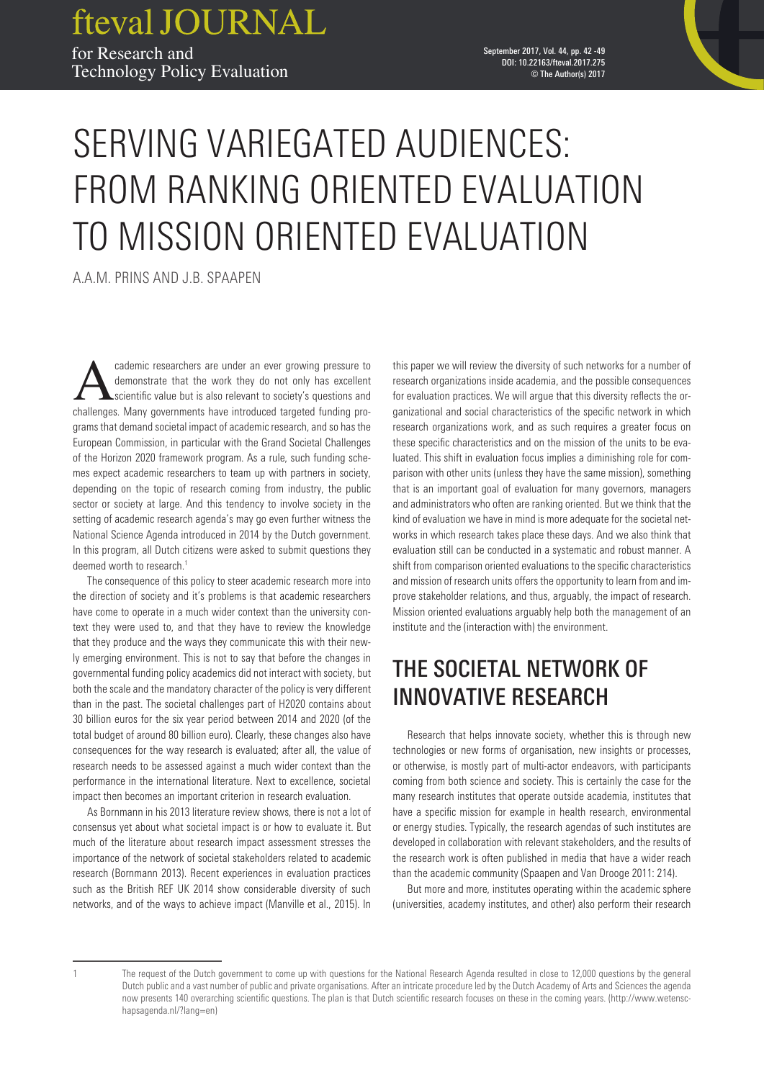fteval JOURNAL for Research and **Technology Policy Evaluation** 

# SERVING VARIEGATED AUDIENCES: FROM RANKING ORIENTED EVALUATION TO MISSION ORIENTED EVALUATION

A.A.M. PRINS AND J.B. SPAAPEN

cademic researchers are under an ever growing pressure to<br>demonstrate that the work they do not only has excellent<br>scientific value but is also relevant to society's questions and<br>abellances. Many soverage beyo introduced demonstrate that the work they do not only has excellent scientific value but is also relevant to society's questions and challenges. Many governments have introduced targeted funding programs that demand societal impact of academic research, and so has the European Commission, in particular with the Grand Societal Challenges of the Horizon 2020 framework program. As a rule, such funding schemes expect academic researchers to team up with partners in society, depending on the topic of research coming from industry, the public sector or society at large. And this tendency to involve society in the setting of academic research agenda's may go even further witness the National Science Agenda introduced in 2014 by the Dutch government. In this program, all Dutch citizens were asked to submit questions they deemed worth to research.<sup>1</sup>

The consequence of this policy to steer academic research more into the direction of society and it's problems is that academic researchers have come to operate in a much wider context than the university context they were used to, and that they have to review the knowledge that they produce and the ways they communicate this with their newly emerging environment. This is not to say that before the changes in governmental funding policy academics did not interact with society, but both the scale and the mandatory character of the policy is very different than in the past. The societal challenges part of H2020 contains about 30 billion euros for the six year period between 2014 and 2020 (of the total budget of around 80 billion euro). Clearly, these changes also have consequences for the way research is evaluated; after all, the value of research needs to be assessed against a much wider context than the performance in the international literature. Next to excellence, societal impact then becomes an important criterion in research evaluation.

As Bornmann in his 2013 literature review shows, there is not a lot of consensus yet about what societal impact is or how to evaluate it. But much of the literature about research impact assessment stresses the importance of the network of societal stakeholders related to academic research (Bornmann 2013). Recent experiences in evaluation practices such as the British REF UK 2014 show considerable diversity of such networks, and of the ways to achieve impact (Manville et al., 2015). In this paper we will review the diversity of such networks for a number of research organizations inside academia, and the possible consequences for evaluation practices. We will argue that this diversity reflects the organizational and social characteristics of the specific network in which research organizations work, and as such requires a greater focus on these specific characteristics and on the mission of the units to be evaluated. This shift in evaluation focus implies a diminishing role for comparison with other units (unless they have the same mission), something that is an important goal of evaluation for many governors, managers and administrators who often are ranking oriented. But we think that the kind of evaluation we have in mind is more adequate for the societal networks in which research takes place these days. And we also think that evaluation still can be conducted in a systematic and robust manner. A shift from comparison oriented evaluations to the specific characteristics and mission of research units offers the opportunity to learn from and improve stakeholder relations, and thus, arguably, the impact of research. Mission oriented evaluations arguably help both the management of an institute and the (interaction with) the environment.

# THE SOCIETAL NETWORK OF INNOVATIVE RESEARCH

Research that helps innovate society, whether this is through new technologies or new forms of organisation, new insights or processes, or otherwise, is mostly part of multi-actor endeavors, with participants coming from both science and society. This is certainly the case for the many research institutes that operate outside academia, institutes that have a specific mission for example in health research, environmental or energy studies. Typically, the research agendas of such institutes are developed in collaboration with relevant stakeholders, and the results of the research work is often published in media that have a wider reach than the academic community (Spaapen and Van Drooge 2011: 214).

But more and more, institutes operating within the academic sphere (universities, academy institutes, and other) also perform their research

<sup>1</sup> The request of the Dutch government to come up with questions for the National Research Agenda resulted in close to 12,000 questions by the general Dutch public and a vast number of public and private organisations. After an intricate procedure led by the Dutch Academy of Arts and Sciences the agenda now presents 140 overarching scientific questions. The plan is that Dutch scientific research focuses on these in the coming years. (http://www.wetenschapsagenda.nl/?lang=en)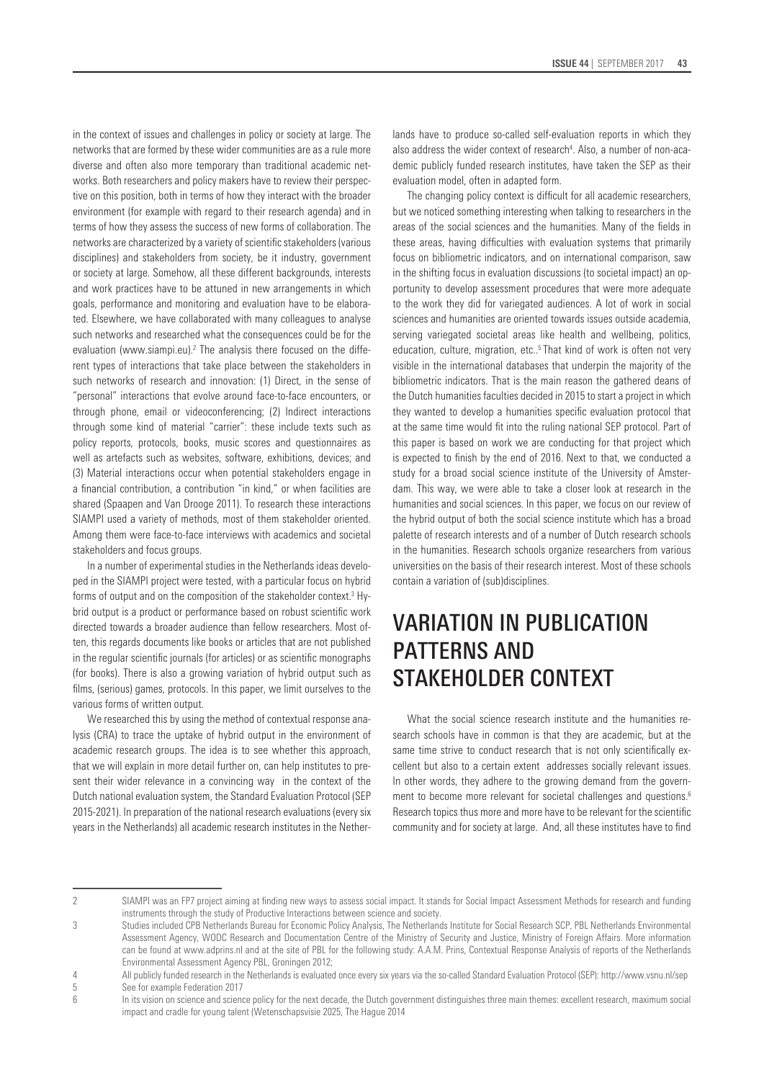in the context of issues and challenges in policy or society at large. The networks that are formed by these wider communities are as a rule more diverse and often also more temporary than traditional academic networks. Both researchers and policy makers have to review their perspective on this position, both in terms of how they interact with the broader environment (for example with regard to their research agenda) and in terms of how they assess the success of new forms of collaboration. The networks are characterized by a variety of scientific stakeholders (various disciplines) and stakeholders from society, be it industry, government or society at large. Somehow, all these different backgrounds, interests and work practices have to be attuned in new arrangements in which goals, performance and monitoring and evaluation have to be elaborated. Elsewhere, we have collaborated with many colleagues to analyse such networks and researched what the consequences could be for the evaluation (www.siampi.eu).<sup>2</sup> The analysis there focused on the different types of interactions that take place between the stakeholders in such networks of research and innovation: (1) Direct, in the sense of "personal" interactions that evolve around face-to-face encounters, or through phone, email or videoconferencing; (2) Indirect interactions through some kind of material "carrier": these include texts such as policy reports, protocols, books, music scores and questionnaires as well as artefacts such as websites, software, exhibitions, devices; and (3) Material interactions occur when potential stakeholders engage in a financial contribution, a contribution "in kind," or when facilities are shared (Spaapen and Van Drooge 2011). To research these interactions SIAMPI used a variety of methods, most of them stakeholder oriented. Among them were face-to-face interviews with academics and societal stakeholders and focus groups.

In a number of experimental studies in the Netherlands ideas developed in the SIAMPI project were tested, with a particular focus on hybrid forms of output and on the composition of the stakeholder context.<sup>3</sup> Hybrid output is a product or performance based on robust scientific work directed towards a broader audience than fellow researchers. Most often, this regards documents like books or articles that are not published in the regular scientific journals (for articles) or as scientific monographs (for books). There is also a growing variation of hybrid output such as films, (serious) games, protocols. In this paper, we limit ourselves to the various forms of written output.

We researched this by using the method of contextual response analysis (CRA) to trace the uptake of hybrid output in the environment of academic research groups. The idea is to see whether this approach, that we will explain in more detail further on, can help institutes to present their wider relevance in a convincing way in the context of the Dutch national evaluation system, the Standard Evaluation Protocol (SEP 2015-2021). In preparation of the national research evaluations (every six years in the Netherlands) all academic research institutes in the Netherlands have to produce so-called self-evaluation reports in which they also address the wider context of research<sup>4</sup>. Also, a number of non-academic publicly funded research institutes, have taken the SEP as their evaluation model, often in adapted form.

The changing policy context is difficult for all academic researchers, but we noticed something interesting when talking to researchers in the areas of the social sciences and the humanities. Many of the fields in these areas, having difficulties with evaluation systems that primarily focus on bibliometric indicators, and on international comparison, saw in the shifting focus in evaluation discussions (to societal impact) an opportunity to develop assessment procedures that were more adequate to the work they did for variegated audiences. A lot of work in social sciences and humanities are oriented towards issues outside academia, serving variegated societal areas like health and wellbeing, politics, education, culture, migration, etc..<sup>5</sup> That kind of work is often not very visible in the international databases that underpin the majority of the bibliometric indicators. That is the main reason the gathered deans of the Dutch humanities faculties decided in 2015 to start a project in which they wanted to develop a humanities specific evaluation protocol that at the same time would fit into the ruling national SEP protocol. Part of this paper is based on work we are conducting for that project which is expected to finish by the end of 2016. Next to that, we conducted a study for a broad social science institute of the University of Amsterdam. This way, we were able to take a closer look at research in the humanities and social sciences. In this paper, we focus on our review of the hybrid output of both the social science institute which has a broad palette of research interests and of a number of Dutch research schools in the humanities. Research schools organize researchers from various universities on the basis of their research interest. Most of these schools contain a variation of (sub)disciplines.

### VARIATION IN PUBLICATION PATTERNS AND STAKEHOLDER CONTEXT

What the social science research institute and the humanities research schools have in common is that they are academic, but at the same time strive to conduct research that is not only scientifically excellent but also to a certain extent addresses socially relevant issues. In other words, they adhere to the growing demand from the government to become more relevant for societal challenges and questions.<sup>6</sup> Research topics thus more and more have to be relevant for the scientific community and for society at large. And, all these institutes have to find

<sup>2</sup> SIAMPI was an FP7 project aiming at finding new ways to assess social impact. It stands for Social Impact Assessment Methods for research and funding instruments through the study of Productive Interactions between science and society.

<sup>3</sup> Studies included CPB Netherlands Bureau for Economic Policy Analysis, The Netherlands Institute for Social Research SCP, PBL Netherlands Environmental Assessment Agency, WODC Research and Documentation Centre of the Ministry of Security and Justice, Ministry of Foreign Affairs. More information can be found at www.adprins.nl and at the site of PBL for the following study: A.A.M. Prins, Contextual Response Analysis of reports of the Netherlands Environmental Assessment Agency PBL, Groningen 2012;

<sup>4</sup> All publicly funded research in the Netherlands is evaluated once every six years via the so-called Standard Evaluation Protocol (SEP): http://www.vsnu.nl/sep

<sup>5</sup> See for example Federation 2017

<sup>6</sup> In its vision on science and science policy for the next decade, the Dutch government distinguishes three main themes: excellent research, maximum social impact and cradle for young talent (Wetenschapsvisie 2025, The Hague 2014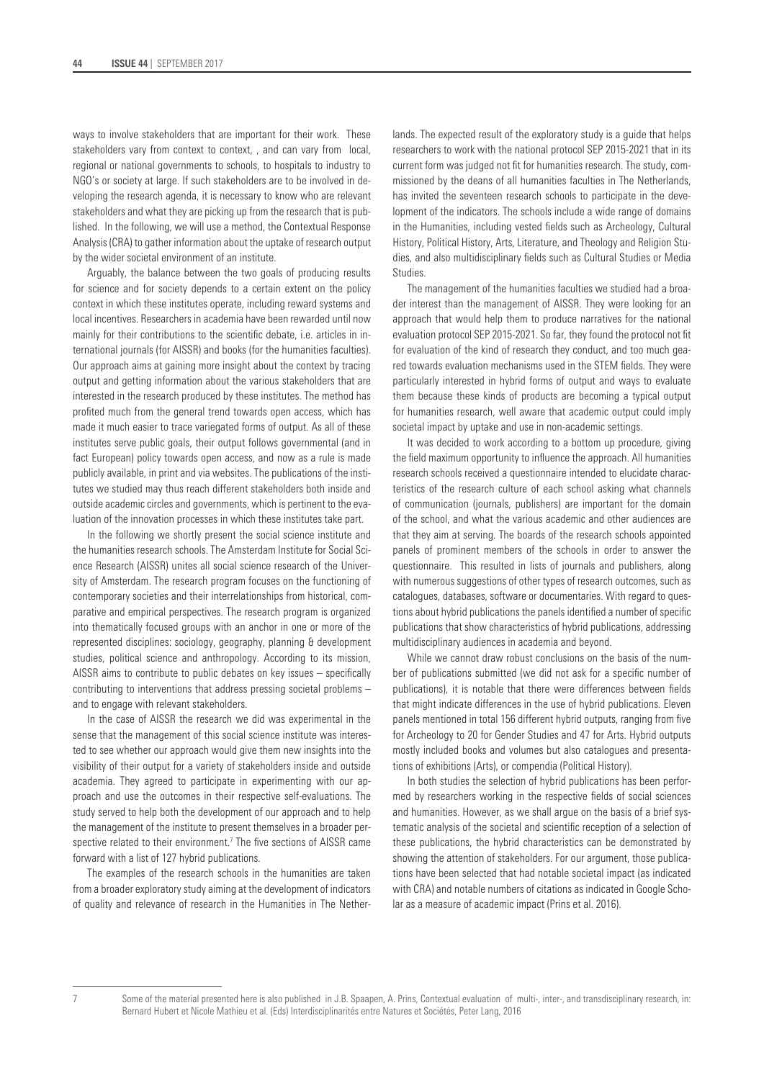ways to involve stakeholders that are important for their work. These stakeholders vary from context to context, , and can vary from local, regional or national governments to schools, to hospitals to industry to NGO's or society at large. If such stakeholders are to be involved in developing the research agenda, it is necessary to know who are relevant stakeholders and what they are picking up from the research that is published. In the following, we will use a method, the Contextual Response Analysis (CRA) to gather information about the uptake of research output by the wider societal environment of an institute.

Arguably, the balance between the two goals of producing results for science and for society depends to a certain extent on the policy context in which these institutes operate, including reward systems and local incentives. Researchers in academia have been rewarded until now mainly for their contributions to the scientific debate, i.e. articles in international journals (for AISSR) and books (for the humanities faculties). Our approach aims at gaining more insight about the context by tracing output and getting information about the various stakeholders that are interested in the research produced by these institutes. The method has profited much from the general trend towards open access, which has made it much easier to trace variegated forms of output. As all of these institutes serve public goals, their output follows governmental (and in fact European) policy towards open access, and now as a rule is made publicly available, in print and via websites. The publications of the institutes we studied may thus reach different stakeholders both inside and outside academic circles and governments, which is pertinent to the evaluation of the innovation processes in which these institutes take part.

In the following we shortly present the social science institute and the humanities research schools. The Amsterdam Institute for Social Science Research (AISSR) unites all social science research of the University of Amsterdam. The research program focuses on the functioning of contemporary societies and their interrelationships from historical, comparative and empirical perspectives. The research program is organized into thematically focused groups with an anchor in one or more of the represented disciplines: sociology, geography, planning & development studies, political science and anthropology. According to its mission, AISSR aims to contribute to public debates on key issues – specifically contributing to interventions that address pressing societal problems – and to engage with relevant stakeholders.

In the case of AISSR the research we did was experimental in the sense that the management of this social science institute was interested to see whether our approach would give them new insights into the visibility of their output for a variety of stakeholders inside and outside academia. They agreed to participate in experimenting with our approach and use the outcomes in their respective self-evaluations. The study served to help both the development of our approach and to help the management of the institute to present themselves in a broader perspective related to their environment.<sup>7</sup> The five sections of AISSR came forward with a list of 127 hybrid publications.

The examples of the research schools in the humanities are taken from a broader exploratory study aiming at the development of indicators of quality and relevance of research in the Humanities in The Netherlands. The expected result of the exploratory study is a guide that helps researchers to work with the national protocol SEP 2015-2021 that in its current form was judged not fit for humanities research. The study, commissioned by the deans of all humanities faculties in The Netherlands, has invited the seventeen research schools to participate in the development of the indicators. The schools include a wide range of domains in the Humanities, including vested fields such as Archeology, Cultural History, Political History, Arts, Literature, and Theology and Religion Studies, and also multidisciplinary fields such as Cultural Studies or Media Studies.

The management of the humanities faculties we studied had a broader interest than the management of AISSR. They were looking for an approach that would help them to produce narratives for the national evaluation protocol SEP 2015-2021. So far, they found the protocol not fit for evaluation of the kind of research they conduct, and too much geared towards evaluation mechanisms used in the STEM fields. They were particularly interested in hybrid forms of output and ways to evaluate them because these kinds of products are becoming a typical output for humanities research, well aware that academic output could imply societal impact by uptake and use in non-academic settings.

It was decided to work according to a bottom up procedure, giving the field maximum opportunity to influence the approach. All humanities research schools received a questionnaire intended to elucidate characteristics of the research culture of each school asking what channels of communication (journals, publishers) are important for the domain of the school, and what the various academic and other audiences are that they aim at serving. The boards of the research schools appointed panels of prominent members of the schools in order to answer the questionnaire. This resulted in lists of journals and publishers, along with numerous suggestions of other types of research outcomes, such as catalogues, databases, software or documentaries. With regard to questions about hybrid publications the panels identified a number of specific publications that show characteristics of hybrid publications, addressing multidisciplinary audiences in academia and beyond.

While we cannot draw robust conclusions on the basis of the number of publications submitted (we did not ask for a specific number of publications), it is notable that there were differences between fields that might indicate differences in the use of hybrid publications. Eleven panels mentioned in total 156 different hybrid outputs, ranging from five for Archeology to 20 for Gender Studies and 47 for Arts. Hybrid outputs mostly included books and volumes but also catalogues and presentations of exhibitions (Arts), or compendia (Political History).

In both studies the selection of hybrid publications has been performed by researchers working in the respective fields of social sciences and humanities. However, as we shall argue on the basis of a brief systematic analysis of the societal and scientific reception of a selection of these publications, the hybrid characteristics can be demonstrated by showing the attention of stakeholders. For our argument, those publications have been selected that had notable societal impact (as indicated with CRA) and notable numbers of citations as indicated in Google Scholar as a measure of academic impact (Prins et al. 2016).

<sup>7</sup> Some of the material presented here is also published in J.B. Spaapen, A. Prins, Contextual evaluation of multi-, inter-, and transdisciplinary research, in: Bernard Hubert et Nicole Mathieu et al. (Eds) Interdisciplinarités entre Natures et Sociétés, Peter Lang, 2016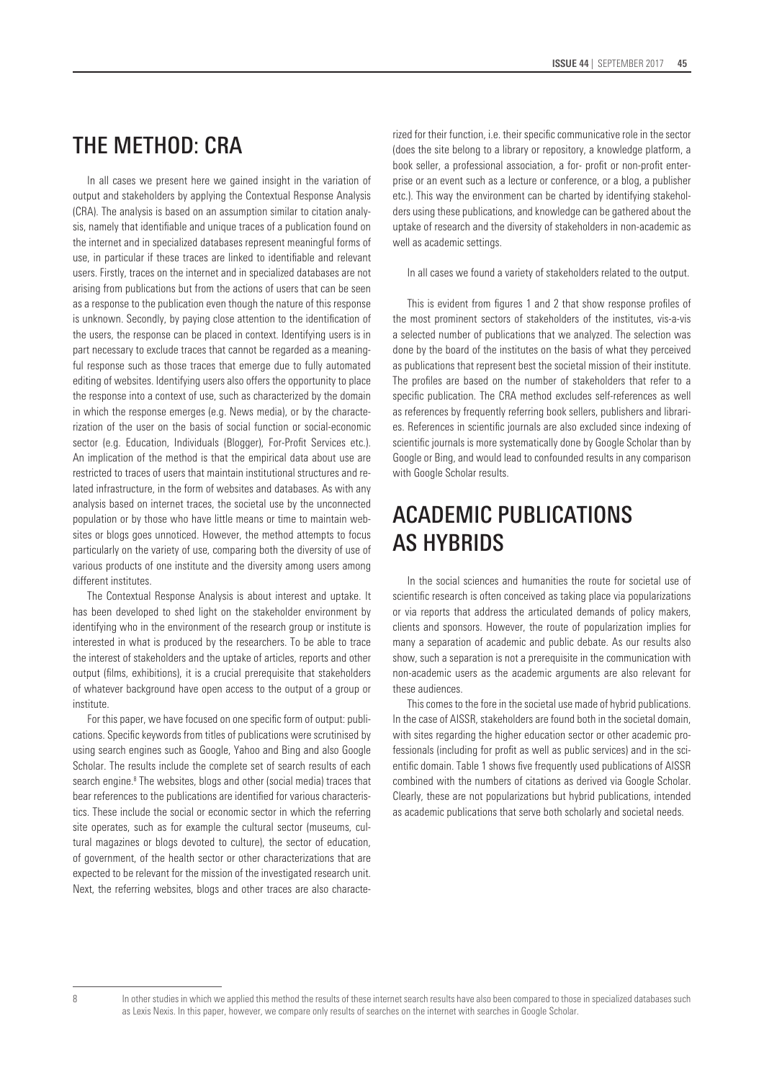#### THE METHOD: CRA

In all cases we present here we gained insight in the variation of output and stakeholders by applying the Contextual Response Analysis (CRA). The analysis is based on an assumption similar to citation analysis, namely that identifiable and unique traces of a publication found on the internet and in specialized databases represent meaningful forms of use, in particular if these traces are linked to identifiable and relevant users. Firstly, traces on the internet and in specialized databases are not arising from publications but from the actions of users that can be seen as a response to the publication even though the nature of this response is unknown. Secondly, by paying close attention to the identification of the users, the response can be placed in context. Identifying users is in part necessary to exclude traces that cannot be regarded as a meaningful response such as those traces that emerge due to fully automated editing of websites. Identifying users also offers the opportunity to place the response into a context of use, such as characterized by the domain in which the response emerges (e.g. News media), or by the characterization of the user on the basis of social function or social-economic sector (e.g. Education, Individuals (Blogger), For-Profit Services etc.). An implication of the method is that the empirical data about use are restricted to traces of users that maintain institutional structures and related infrastructure, in the form of websites and databases. As with any analysis based on internet traces, the societal use by the unconnected population or by those who have little means or time to maintain websites or blogs goes unnoticed. However, the method attempts to focus particularly on the variety of use, comparing both the diversity of use of various products of one institute and the diversity among users among different institutes.

The Contextual Response Analysis is about interest and uptake. It has been developed to shed light on the stakeholder environment by identifying who in the environment of the research group or institute is interested in what is produced by the researchers. To be able to trace the interest of stakeholders and the uptake of articles, reports and other output (films, exhibitions), it is a crucial prerequisite that stakeholders of whatever background have open access to the output of a group or institute.

For this paper, we have focused on one specific form of output: publications. Specific keywords from titles of publications were scrutinised by using search engines such as Google, Yahoo and Bing and also Google Scholar. The results include the complete set of search results of each search engine.<sup>8</sup> The websites, blogs and other (social media) traces that bear references to the publications are identified for various characteristics. These include the social or economic sector in which the referring site operates, such as for example the cultural sector (museums, cultural magazines or blogs devoted to culture), the sector of education, of government, of the health sector or other characterizations that are expected to be relevant for the mission of the investigated research unit. Next, the referring websites, blogs and other traces are also characterized for their function, i.e. their specific communicative role in the sector (does the site belong to a library or repository, a knowledge platform, a book seller, a professional association, a for- profit or non-profit enterprise or an event such as a lecture or conference, or a blog, a publisher etc.). This way the environment can be charted by identifying stakeholders using these publications, and knowledge can be gathered about the uptake of research and the diversity of stakeholders in non-academic as well as academic settings.

In all cases we found a variety of stakeholders related to the output.

This is evident from figures 1 and 2 that show response profiles of the most prominent sectors of stakeholders of the institutes, vis-a-vis a selected number of publications that we analyzed. The selection was done by the board of the institutes on the basis of what they perceived as publications that represent best the societal mission of their institute. The profiles are based on the number of stakeholders that refer to a specific publication. The CRA method excludes self-references as well as references by frequently referring book sellers, publishers and libraries. References in scientific journals are also excluded since indexing of scientific journals is more systematically done by Google Scholar than by Google or Bing, and would lead to confounded results in any comparison with Google Scholar results.

### ACADEMIC PUBLICATIONS AS HYBRIDS

In the social sciences and humanities the route for societal use of scientific research is often conceived as taking place via popularizations or via reports that address the articulated demands of policy makers, clients and sponsors. However, the route of popularization implies for many a separation of academic and public debate. As our results also show, such a separation is not a prerequisite in the communication with non-academic users as the academic arguments are also relevant for these audiences.

This comes to the fore in the societal use made of hybrid publications. In the case of AISSR, stakeholders are found both in the societal domain, with sites regarding the higher education sector or other academic professionals (including for profit as well as public services) and in the scientific domain. Table 1 shows five frequently used publications of AISSR combined with the numbers of citations as derived via Google Scholar. Clearly, these are not popularizations but hybrid publications, intended as academic publications that serve both scholarly and societal needs.

<sup>8</sup> In other studies in which we applied this method the results of these internet search results have also been compared to those in specialized databases such as Lexis Nexis. In this paper, however, we compare only results of searches on the internet with searches in Google Scholar.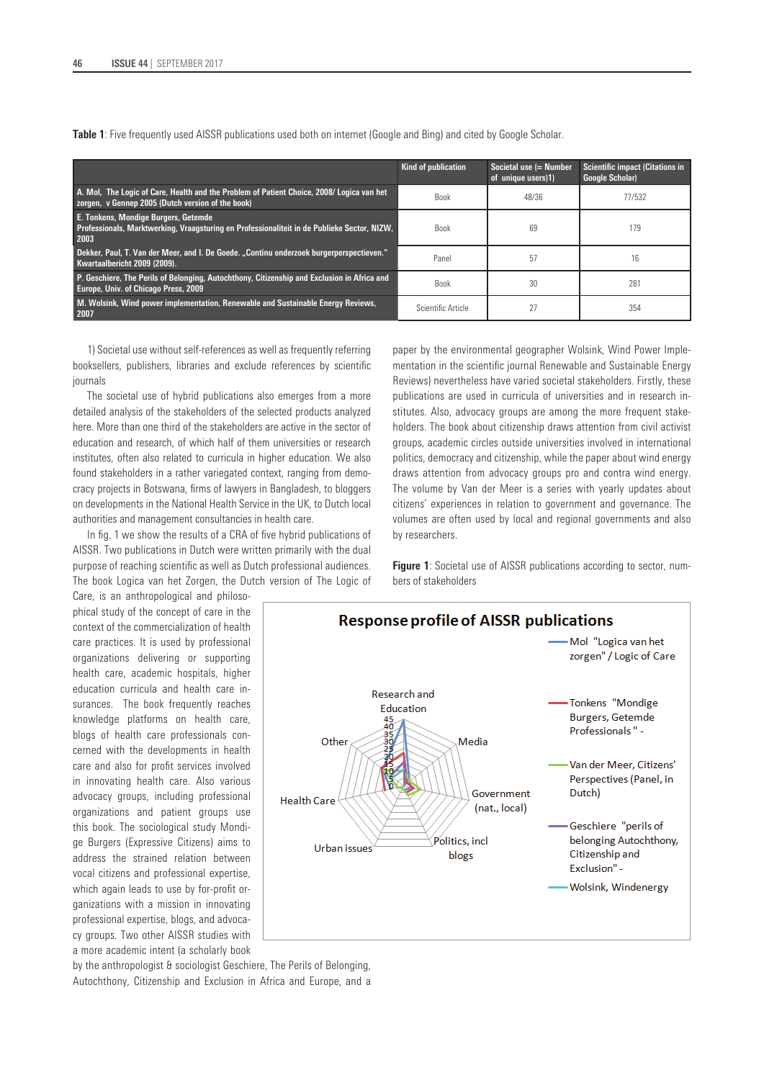|                                                                                                                                                    | Kind of publication | Societal use (= Number<br>of unique users)1) | Scientific impact (Citations in<br><b>Google Scholar)</b> |
|----------------------------------------------------------------------------------------------------------------------------------------------------|---------------------|----------------------------------------------|-----------------------------------------------------------|
| A. Mol, The Logic of Care, Health and the Problem of Patient Choice, 2008/ Logica van het<br>zorgen, v Gennep 2005 (Dutch version of the book)     | <b>Book</b>         | 48/36                                        | 77/532                                                    |
| <b>E. Tonkens, Mondige Burgers, Getemde</b><br>Professionals, Marktwerking, Vraagsturing en Professionaliteit in de Publieke Sector, NIZW,<br>2003 | <b>Book</b>         | 69                                           | 179                                                       |
| Dekker, Paul, T. Van der Meer, and I. De Goede. "Continu onderzoek burgerperspectieven."<br>Kwartaalbericht 2009 (2009).                           | Panel               | 57                                           | 16                                                        |
| P. Geschiere, The Perils of Belonging, Autochthony, Citizenship and Exclusion in Africa and<br><b>Europe, Univ. of Chicago Press, 2009</b>         | <b>Book</b>         | 30                                           | 281                                                       |
| M. Wolsink, Wind power implementation, Renewable and Sustainable Energy Reviews,<br>2007                                                           | Scientific Article  | 27                                           | 354                                                       |

**Table 1**: Five frequently used AISSR publications used both on internet (Google and Bing) and cited by Google Scholar.

1) Societal use without self-references as well as frequently referring booksellers, publishers, libraries and exclude references by scientific journals

The societal use of hybrid publications also emerges from a more detailed analysis of the stakeholders of the selected products analyzed here. More than one third of the stakeholders are active in the sector of education and research, of which half of them universities or research institutes, often also related to curricula in higher education. We also found stakeholders in a rather variegated context, ranging from democracy projects in Botswana, firms of lawyers in Bangladesh, to bloggers on developments in the National Health Service in the UK, to Dutch local authorities and management consultancies in health care.

In fig. 1 we show the results of a CRA of five hybrid publications of AISSR. Two publications in Dutch were written primarily with the dual purpose of reaching scientific as well as Dutch professional audiences. The book Logica van het Zorgen, the Dutch version of The Logic of paper by the environmental geographer Wolsink, Wind Power Implementation in the scientific journal Renewable and Sustainable Energy Reviews) nevertheless have varied societal stakeholders. Firstly, these publications are used in curricula of universities and in research institutes. Also, advocacy groups are among the more frequent stakeholders. The book about citizenship draws attention from civil activist groups, academic circles outside universities involved in international politics, democracy and citizenship, while the paper about wind energy draws attention from advocacy groups pro and contra wind energy. The volume by Van der Meer is a series with yearly updates about citizens' experiences in relation to government and governance. The volumes are often used by local and regional governments and also by researchers.

**Figure 1**: Societal use of AISSR publications according to sector, numbers of stakeholders

Care, is an anthropological and philosophical study of the concept of care in the context of the commercialization of health care practices. It is used by professional organizations delivering or supporting health care, academic hospitals, higher education curricula and health care insurances. The book frequently reaches knowledge platforms on health care, blogs of health care professionals concerned with the developments in health care and also for profit services involved in innovating health care. Also various advocacy groups, including professional organizations and patient groups use this book. The sociological study Mondige Burgers (Expressive Citizens) aims to address the strained relation between vocal citizens and professional expertise, which again leads to use by for-profit organizations with a mission in innovating professional expertise, blogs, and advocacy groups. Two other AISSR studies with a more academic intent (a scholarly book



by the anthropologist & sociologist Geschiere, The Perils of Belonging, Autochthony, Citizenship and Exclusion in Africa and Europe, and a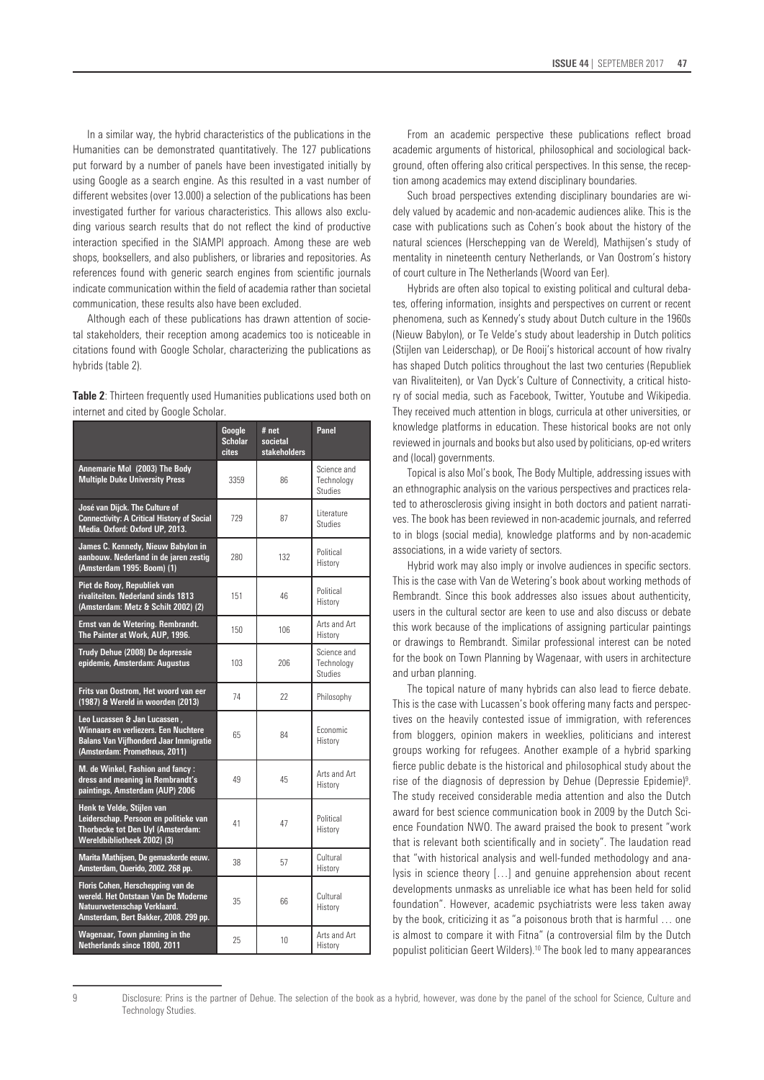In a similar way, the hybrid characteristics of the publications in the Humanities can be demonstrated quantitatively. The 127 publications put forward by a number of panels have been investigated initially by using Google as a search engine. As this resulted in a vast number of different websites (over 13.000) a selection of the publications has been investigated further for various characteristics. This allows also excluding various search results that do not reflect the kind of productive interaction specified in the SIAMPI approach. Among these are web shops, booksellers, and also publishers, or libraries and repositories. As references found with generic search engines from scientific journals indicate communication within the field of academia rather than societal communication, these results also have been excluded.

Although each of these publications has drawn attention of societal stakeholders, their reception among academics too is noticeable in citations found with Google Scholar, characterizing the publications as hybrids (table 2).

| <b>Table 2:</b> Thirteen frequently used Humanities publications used both on |  |
|-------------------------------------------------------------------------------|--|
| internet and cited by Google Scholar.                                         |  |

|                                                                                                                                                        | Google<br><b>Scholar</b><br><b>cites</b> | $#$ net<br>societal<br><b>stakeholders</b> | Panel                                       |
|--------------------------------------------------------------------------------------------------------------------------------------------------------|------------------------------------------|--------------------------------------------|---------------------------------------------|
| Annemarie Mol (2003) The Body<br><b>Multiple Duke University Press</b>                                                                                 | 3359                                     | 86                                         | Science and<br>Technology<br><b>Studies</b> |
| José van Dijck. The Culture of<br><b>Connectivity: A Critical History of Social</b><br>Media. Oxford: Oxford UP, 2013.                                 | 729                                      | 87                                         | Literature<br>Studies                       |
| James C. Kennedy, Nieuw Babylon in<br>aanbouw. Nederland in de jaren zestig<br>(Amsterdam 1995: Boom) (1)                                              | 280                                      | 132                                        | Political<br>History                        |
| Piet de Rooy, Republiek van<br>rivaliteiten. Nederland sinds 1813<br>(Amsterdam: Metz & Schilt 2002) (2)                                               | 151                                      | 46                                         | Political<br>History                        |
| Ernst van de Wetering. Rembrandt.<br>The Painter at Work, AUP, 1996.                                                                                   | 150                                      | 106                                        | Arts and Art<br>History                     |
| Trudy Dehue (2008) De depressie<br>epidemie, Amsterdam: Augustus                                                                                       | 103                                      | 206                                        | Science and<br>Technology<br><b>Studies</b> |
| Frits van Oostrom, Het woord van eer<br>(1987) & Wereld in woorden (2013)                                                                              | 74                                       | 22                                         | Philosophy                                  |
| Leo Lucassen & Jan Lucassen,<br>Winnaars en verliezers. Een Nuchtere<br><b>Balans Van Viifhonderd Jaar Immigratie</b><br>(Amsterdam: Prometheus, 2011) | 65                                       | 84                                         | <b>Economic</b><br>History                  |
| M. de Winkel, Fashion and fancy:<br>dress and meaning in Rembrandt's<br>paintings, Amsterdam (AUP) 2006                                                | 49                                       | 45                                         | Arts and Art<br>History                     |
| Henk te Velde, Stijlen van<br>Leiderschap. Persoon en politieke van<br>Thorbecke tot Den Uyl (Amsterdam:<br>Wereldbibliotheek 2002) (3)                | 41                                       | 47                                         | Political<br>History                        |
| Marita Mathijsen, De gemaskerde eeuw.<br>Amsterdam, Querido, 2002. 268 pp.                                                                             | 38                                       | 57                                         | Cultural<br>History                         |
| Floris Cohen, Herschepping van de<br>wereld. Het Ontstaan Van De Moderne<br>Natuurwetenschap Verklaard.<br>Amsterdam, Bert Bakker, 2008. 299 pp.       | 35                                       | 66                                         | Cultural<br>History                         |
| Wagenaar, Town planning in the<br>Netherlands since 1800, 2011                                                                                         | 25                                       | 10                                         | Arts and Art<br>History                     |

From an academic perspective these publications reflect broad academic arguments of historical, philosophical and sociological background, often offering also critical perspectives. In this sense, the reception among academics may extend disciplinary boundaries.

Such broad perspectives extending disciplinary boundaries are widely valued by academic and non-academic audiences alike. This is the case with publications such as Cohen's book about the history of the natural sciences (Herschepping van de Wereld), Mathijsen's study of mentality in nineteenth century Netherlands, or Van Oostrom's history of court culture in The Netherlands (Woord van Eer).

Hybrids are often also topical to existing political and cultural debates, offering information, insights and perspectives on current or recent phenomena, such as Kennedy's study about Dutch culture in the 1960s (Nieuw Babylon), or Te Velde's study about leadership in Dutch politics (Stijlen van Leiderschap), or De Rooij's historical account of how rivalry has shaped Dutch politics throughout the last two centuries (Republiek van Rivaliteiten), or Van Dyck's Culture of Connectivity, a critical history of social media, such as Facebook, Twitter, Youtube and Wikipedia. They received much attention in blogs, curricula at other universities, or knowledge platforms in education. These historical books are not only reviewed in journals and books but also used by politicians, op-ed writers and (local) governments.

Topical is also Mol's book, The Body Multiple, addressing issues with an ethnographic analysis on the various perspectives and practices related to atherosclerosis giving insight in both doctors and patient narratives. The book has been reviewed in non-academic journals, and referred to in blogs (social media), knowledge platforms and by non-academic associations, in a wide variety of sectors.

Hybrid work may also imply or involve audiences in specific sectors. This is the case with Van de Wetering's book about working methods of Rembrandt. Since this book addresses also issues about authenticity, users in the cultural sector are keen to use and also discuss or debate this work because of the implications of assigning particular paintings or drawings to Rembrandt. Similar professional interest can be noted for the book on Town Planning by Wagenaar, with users in architecture and urban planning.

The topical nature of many hybrids can also lead to fierce debate. This is the case with Lucassen's book offering many facts and perspectives on the heavily contested issue of immigration, with references from bloggers, opinion makers in weeklies, politicians and interest groups working for refugees. Another example of a hybrid sparking fierce public debate is the historical and philosophical study about the rise of the diagnosis of depression by Dehue (Depressie Epidemie)<sup>9</sup>. The study received considerable media attention and also the Dutch award for best science communication book in 2009 by the Dutch Science Foundation NWO. The award praised the book to present "work that is relevant both scientifically and in society". The laudation read that "with historical analysis and well-funded methodology and analysis in science theory […] and genuine apprehension about recent developments unmasks as unreliable ice what has been held for solid foundation". However, academic psychiatrists were less taken away by the book, criticizing it as "a poisonous broth that is harmful … one is almost to compare it with Fitna" (a controversial film by the Dutch populist politician Geert Wilders).10 The book led to many appearances

<sup>9</sup> Disclosure: Prins is the partner of Dehue. The selection of the book as a hybrid, however, was done by the panel of the school for Science, Culture and Technology Studies.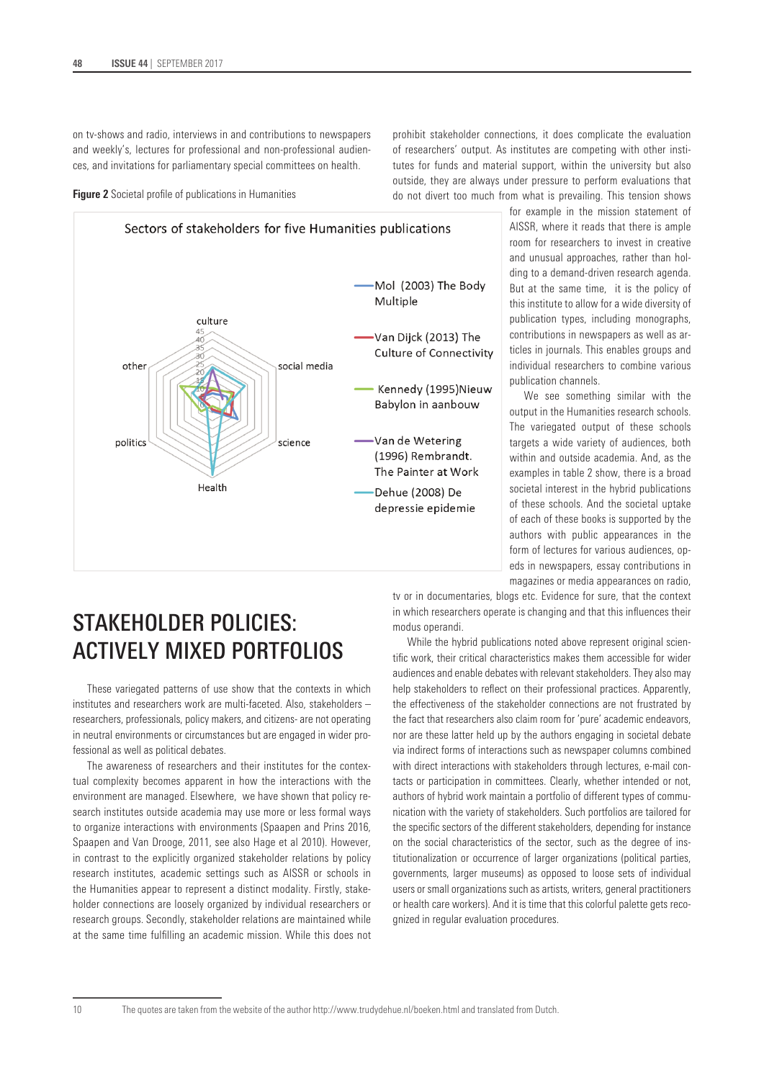on tv-shows and radio, interviews in and contributions to newspapers and weekly's, lectures for professional and non-professional audiences, and invitations for parliamentary special committees on health.

**Figure 2** Societal profile of publications in Humanities



outside, they are always under pressure to perform evaluations that do not divert too much from what is prevailing. This tension shows for example in the mission statement of AISSR, where it reads that there is ample room for researchers to invest in creative and unusual approaches, rather than holding to a demand-driven research agenda. But at the same time, it is the policy of this institute to allow for a wide diversity of publication types, including monographs, contributions in newspapers as well as articles in journals. This enables groups and

prohibit stakeholder connections, it does complicate the evaluation of researchers' output. As institutes are competing with other institutes for funds and material support, within the university but also

> publication channels. We see something similar with the output in the Humanities research schools. The variegated output of these schools targets a wide variety of audiences, both within and outside academia. And, as the examples in table 2 show, there is a broad societal interest in the hybrid publications of these schools. And the societal uptake of each of these books is supported by the authors with public appearances in the form of lectures for various audiences, opeds in newspapers, essay contributions in magazines or media appearances on radio,

> individual researchers to combine various

## STAKEHOLDER POLICIES: ACTIVELY MIXED PORTFOLIOS

These variegated patterns of use show that the contexts in which institutes and researchers work are multi-faceted. Also, stakeholders – researchers, professionals, policy makers, and citizens- are not operating in neutral environments or circumstances but are engaged in wider professional as well as political debates.

The awareness of researchers and their institutes for the contextual complexity becomes apparent in how the interactions with the environment are managed. Elsewhere, we have shown that policy research institutes outside academia may use more or less formal ways to organize interactions with environments (Spaapen and Prins 2016, Spaapen and Van Drooge, 2011, see also Hage et al 2010). However, in contrast to the explicitly organized stakeholder relations by policy research institutes, academic settings such as AISSR or schools in the Humanities appear to represent a distinct modality. Firstly, stakeholder connections are loosely organized by individual researchers or research groups. Secondly, stakeholder relations are maintained while at the same time fulfilling an academic mission. While this does not tv or in documentaries, blogs etc. Evidence for sure, that the context in which researchers operate is changing and that this influences their modus operandi.

While the hybrid publications noted above represent original scientific work, their critical characteristics makes them accessible for wider audiences and enable debates with relevant stakeholders. They also may help stakeholders to reflect on their professional practices. Apparently, the effectiveness of the stakeholder connections are not frustrated by the fact that researchers also claim room for 'pure' academic endeavors, nor are these latter held up by the authors engaging in societal debate via indirect forms of interactions such as newspaper columns combined with direct interactions with stakeholders through lectures, e-mail contacts or participation in committees. Clearly, whether intended or not, authors of hybrid work maintain a portfolio of different types of communication with the variety of stakeholders. Such portfolios are tailored for the specific sectors of the different stakeholders, depending for instance on the social characteristics of the sector, such as the degree of institutionalization or occurrence of larger organizations (political parties, governments, larger museums) as opposed to loose sets of individual users or small organizations such as artists, writers, general practitioners or health care workers). And it is time that this colorful palette gets recognized in regular evaluation procedures.